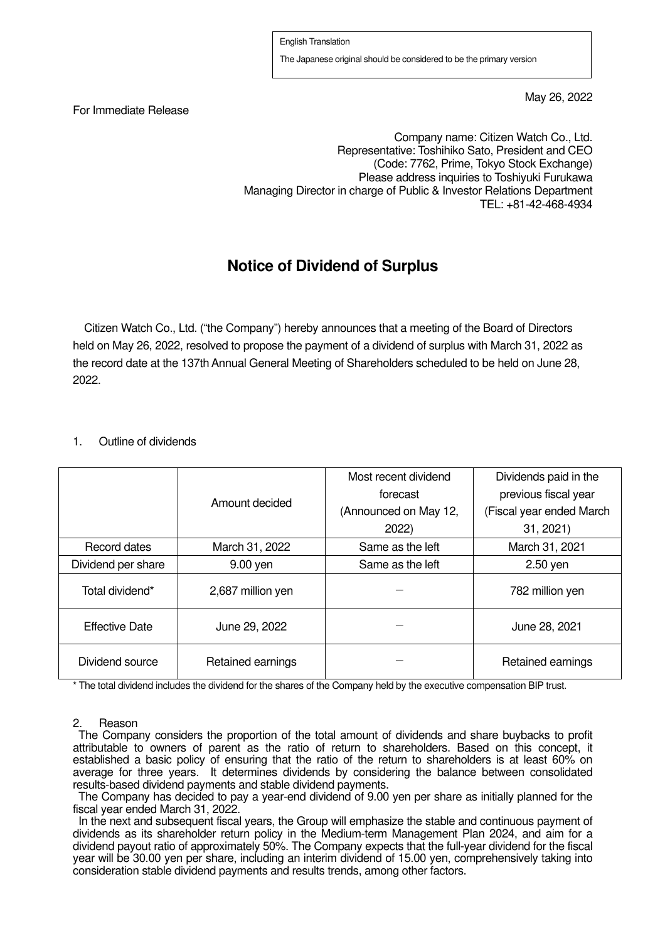For Immediate Release

May 26, 2022

Company name: Citizen Watch Co., Ltd. Representative: Toshihiko Sato, President and CEO (Code: 7762, Prime, Tokyo Stock Exchange) Please address inquiries to Toshiyuki Furukawa Managing Director in charge of Public & Investor Relations Department TEL: +81-42-468-4934

## **Notice of Dividend of Surplus**

Citizen Watch Co., Ltd. ("the Company") hereby announces that a meeting of the Board of Directors held on May 26, 2022, resolved to propose the payment of a dividend of surplus with March 31, 2022 as the record date at the 137th Annual General Meeting of Shareholders scheduled to be held on June 28, 2022.

## 1. Outline of dividends

|                    | Amount decided    | Most recent dividend  | Dividends paid in the    |
|--------------------|-------------------|-----------------------|--------------------------|
|                    |                   | forecast              | previous fiscal year     |
|                    |                   | (Announced on May 12, | (Fiscal year ended March |
|                    |                   | 2022)                 | 31, 2021                 |
| Record dates       | March 31, 2022    | Same as the left      | March 31, 2021           |
| Dividend per share | $9.00$ yen        | Same as the left      | $2.50$ yen               |
| Total dividend*    | 2,687 million yen |                       | 782 million yen          |
| Effective Date     | June 29, 2022     |                       | June 28, 2021            |
| Dividend source    | Retained earnings |                       | Retained earnings        |

\* The total dividend includes the dividend for the shares of the Company held by the executive compensation BIP trust.

## 2. Reason

The Company considers the proportion of the total amount of dividends and share buybacks to profit attributable to owners of parent as the ratio of return to shareholders. Based on this concept, it established a basic policy of ensuring that the ratio of the return to shareholders is at least 60% on average for three years. It determines dividends by considering the balance between consolidated results-based dividend payments and stable dividend payments.

The Company has decided to pay a year-end dividend of 9.00 yen per share as initially planned for the fiscal year ended March 31, 2022.

In the next and subsequent fiscal years, the Group will emphasize the stable and continuous payment of dividends as its shareholder return policy in the Medium-term Management Plan 2024, and aim for a dividend payout ratio of approximately 50%. The Company expects that the full-year dividend for the fiscal year will be 30.00 yen per share, including an interim dividend of 15.00 yen, comprehensively taking into consideration stable dividend payments and results trends, among other factors.